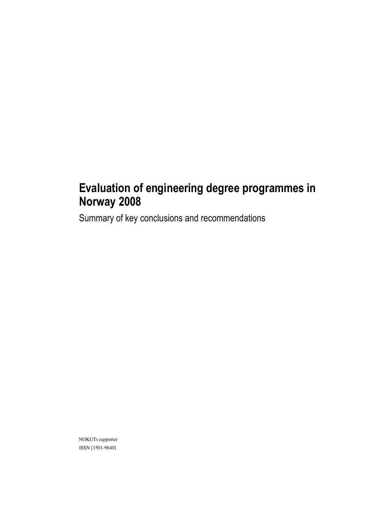# Evaluation of engineering degree programmes in Norway 2008

Summary of key conclusions and recommendations

NOKUTs rapporter ISSN [1501-9640]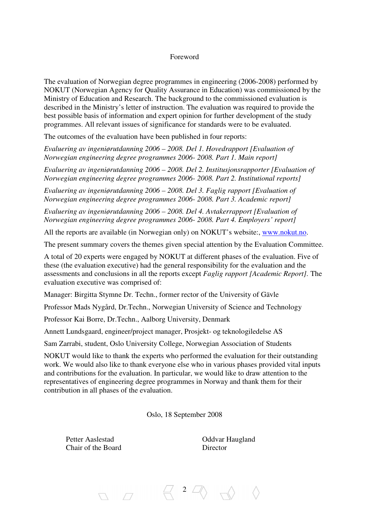#### Foreword

The evaluation of Norwegian degree programmes in engineering (2006-2008) performed by NOKUT (Norwegian Agency for Quality Assurance in Education) was commissioned by the Ministry of Education and Research. The background to the commissioned evaluation is described in the Ministry's letter of instruction. The evaluation was required to provide the best possible basis of information and expert opinion for further development of the study programmes. All relevant issues of significance for standards were to be evaluated.

The outcomes of the evaluation have been published in four reports:

*Evaluering av ingeniørutdanning 2006 – 2008. Del 1. Hovedrapport [Evaluation of Norwegian engineering degree programmes 2006- 2008. Part 1. Main report]*

*Evaluering av ingeniørutdanning 2006 – 2008. Del 2. Institusjonsrapporter [Evaluation of Norwegian engineering degree programmes 2006- 2008. Part 2. Institutional reports]* 

*Evaluering av ingeniørutdanning 2006 – 2008. Del 3. Faglig rapport [Evaluation of Norwegian engineering degree programmes 2006- 2008. Part 3. Academic report]* 

*Evaluering av ingeniørutdanning 2006 – 2008. Del 4. Avtakerrapport [Evaluation of Norwegian engineering degree programmes 2006- 2008. Part 4. Employers' report]* 

All the reports are available (in Norwegian only) on NOKUT's website:, www.nokut.no.

The present summary covers the themes given special attention by the Evaluation Committee.

A total of 20 experts were engaged by NOKUT at different phases of the evaluation. Five of these (the evaluation executive) had the general responsibility for the evaluation and the assessments and conclusions in all the reports except *Faglig rapport [Academic Report].* The evaluation executive was comprised of:

Manager: Birgitta Stymne Dr. Techn., former rector of the University of Gävle

Professor Mads Nygård, Dr.Techn., Norwegian University of Science and Technology

Professor Kai Borre, Dr.Techn., Aalborg University, Denmark

Annett Lundsgaard, engineer/project manager, Prosjekt- og teknologiledelse AS

Sam Zarrabi, student, Oslo University College, Norwegian Association of Students

NOKUT would like to thank the experts who performed the evaluation for their outstanding work. We would also like to thank everyone else who in various phases provided vital inputs and contributions for the evaluation. In particular, we would like to draw attention to the representatives of engineering degree programmes in Norway and thank them for their contribution in all phases of the evaluation.

Oslo, 18 September 2008

Chair of the Board Director

 $\Box$ 

Petter Aaslestad **Oddvar Haugland** 

 $\left\langle 2 \right\rangle \left\langle \right\rangle$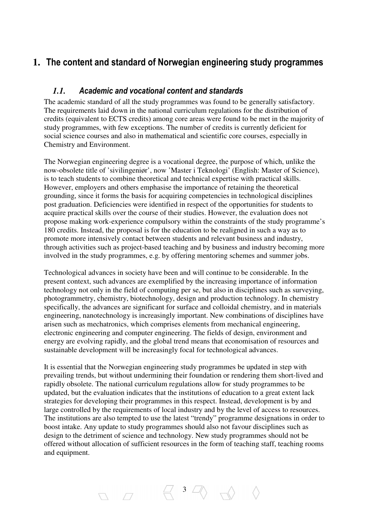# **1.** The content and standard of Norwegian engineering study programmes

### *1.1.* Academic and vocational content and standards

The academic standard of all the study programmes was found to be generally satisfactory. The requirements laid down in the national curriculum regulations for the distribution of credits (equivalent to ECTS credits) among core areas were found to be met in the majority of study programmes, with few exceptions. The number of credits is currently deficient for social science courses and also in mathematical and scientific core courses, especially in Chemistry and Environment.

The Norwegian engineering degree is a vocational degree, the purpose of which, unlike the now-obsolete title of 'sivilingeniør', now 'Master i Teknologi' (English: Master of Science), is to teach students to combine theoretical and technical expertise with practical skills. However, employers and others emphasise the importance of retaining the theoretical grounding, since it forms the basis for acquiring competencies in technological disciplines post graduation. Deficiencies were identified in respect of the opportunities for students to acquire practical skills over the course of their studies. However, the evaluation does not propose making work-experience compulsory within the constraints of the study programme's 180 credits. Instead, the proposal is for the education to be realigned in such a way as to promote more intensively contact between students and relevant business and industry, through activities such as project-based teaching and by business and industry becoming more involved in the study programmes, e.g. by offering mentoring schemes and summer jobs.

Technological advances in society have been and will continue to be considerable. In the present context, such advances are exemplified by the increasing importance of information technology not only in the field of computing per se, but also in disciplines such as surveying, photogrammetry, chemistry, biotechnology, design and production technology. In chemistry specifically, the advances are significant for surface and colloidal chemistry, and in materials engineering, nanotechnology is increasingly important. New combinations of disciplines have arisen such as mechatronics, which comprises elements from mechanical engineering, electronic engineering and computer engineering. The fields of design, environment and energy are evolving rapidly, and the global trend means that economisation of resources and sustainable development will be increasingly focal for technological advances.

It is essential that the Norwegian engineering study programmes be updated in step with prevailing trends, but without undermining their foundation or rendering them short-lived and rapidly obsolete. The national curriculum regulations allow for study programmes to be updated, but the evaluation indicates that the institutions of education to a great extent lack strategies for developing their programmes in this respect. Instead, development is by and large controlled by the requirements of local industry and by the level of access to resources. The institutions are also tempted to use the latest "trendy" programme designations in order to boost intake. Any update to study programmes should also not favour disciplines such as design to the detriment of science and technology. New study programmes should not be offered without allocation of sufficient resources in the form of teaching staff, teaching rooms and equipment.

 $\begin{array}{ccc} \n\Box & \Box & \n\end{array}$ 

 $\begin{array}{ccc}\n\hline\n\end{array}\n\begin{array}{ccc}\n3 & \n\hline\n\end{array}\n\begin{array}{ccc}\n\hline\n\end{array}\n\quad\n\begin{array}{ccc}\n\hline\n\end{array}\n\quad\n\begin{array}{ccc}\n\hline\n\end{array}\n\quad\n\begin{array}{ccc}\n\hline\n\end{array}\n\quad\n\end{array}\n\quad\n\begin{array}{ccc}\n\hline\n\end{array}\n\quad\n\begin{array}{ccc}\n\hline\n\end{array}\n\quad\n\begin{array}{ccc}\n\hline\n\end{array}\n\quad\n\begin{array}{ccc}\n\hline\n\end{array}\n\quad\n\begin{$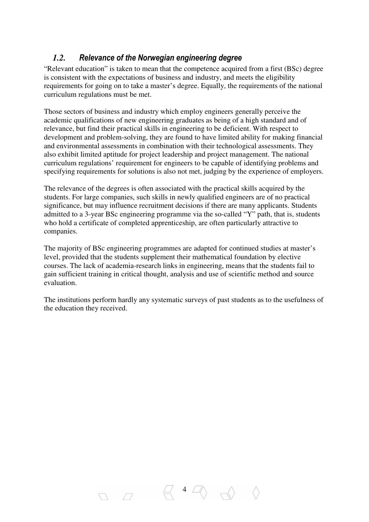## *1.2.* Relevance of the Norwegian engineering degree

"Relevant education" is taken to mean that the competence acquired from a first (BSc) degree is consistent with the expectations of business and industry, and meets the eligibility requirements for going on to take a master's degree. Equally, the requirements of the national curriculum regulations must be met.

Those sectors of business and industry which employ engineers generally perceive the academic qualifications of new engineering graduates as being of a high standard and of relevance, but find their practical skills in engineering to be deficient. With respect to development and problem-solving, they are found to have limited ability for making financial and environmental assessments in combination with their technological assessments. They also exhibit limited aptitude for project leadership and project management. The national curriculum regulations' requirement for engineers to be capable of identifying problems and specifying requirements for solutions is also not met, judging by the experience of employers.

The relevance of the degrees is often associated with the practical skills acquired by the students. For large companies, such skills in newly qualified engineers are of no practical significance, but may influence recruitment decisions if there are many applicants. Students admitted to a 3-year BSc engineering programme via the so-called "Y" path, that is, students who hold a certificate of completed apprenticeship, are often particularly attractive to companies.

The majority of BSc engineering programmes are adapted for continued studies at master's level, provided that the students supplement their mathematical foundation by elective courses. The lack of academia-research links in engineering, means that the students fail to gain sufficient training in critical thought, analysis and use of scientific method and source evaluation.

The institutions perform hardly any systematic surveys of past students as to the usefulness of the education they received.

 $\left\langle \begin{array}{cc} 4 & \angle \ \end{array} \right\rangle$ 

 $\begin{array}{ccc} \square & \square & \end{array}$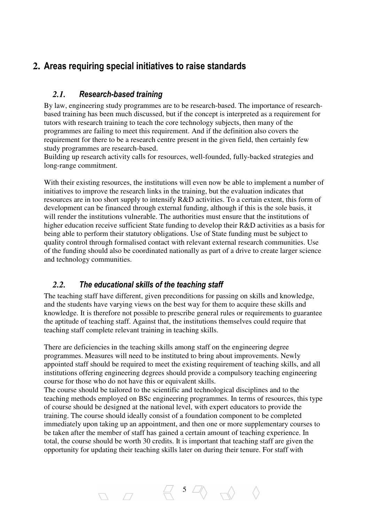# **2.** Areas requiring special initiatives to raise standards

# *2.1.* Research-based training

By law, engineering study programmes are to be research-based. The importance of researchbased training has been much discussed, but if the concept is interpreted as a requirement for tutors with research training to teach the core technology subjects, then many of the programmes are failing to meet this requirement. And if the definition also covers the requirement for there to be a research centre present in the given field, then certainly few study programmes are research-based.

Building up research activity calls for resources, well-founded, fully-backed strategies and long-range commitment.

With their existing resources, the institutions will even now be able to implement a number of initiatives to improve the research links in the training, but the evaluation indicates that resources are in too short supply to intensify R&D activities. To a certain extent, this form of development can be financed through external funding, although if this is the sole basis, it will render the institutions vulnerable. The authorities must ensure that the institutions of higher education receive sufficient State funding to develop their R&D activities as a basis for being able to perform their statutory obligations. Use of State funding must be subject to quality control through formalised contact with relevant external research communities. Use of the funding should also be coordinated nationally as part of a drive to create larger science and technology communities.

## *2.2.* The educational skills of the teaching staff

 $\begin{array}{ccc} \n\Box & \Box & \n\end{array}$ 

The teaching staff have different, given preconditions for passing on skills and knowledge, and the students have varying views on the best way for them to acquire these skills and knowledge. It is therefore not possible to prescribe general rules or requirements to guarantee the aptitude of teaching staff. Against that, the institutions themselves could require that teaching staff complete relevant training in teaching skills.

There are deficiencies in the teaching skills among staff on the engineering degree programmes. Measures will need to be instituted to bring about improvements. Newly appointed staff should be required to meet the existing requirement of teaching skills, and all institutions offering engineering degrees should provide a compulsory teaching engineering course for those who do not have this or equivalent skills.

The course should be tailored to the scientific and technological disciplines and to the teaching methods employed on BSc engineering programmes. In terms of resources, this type of course should be designed at the national level, with expert educators to provide the training. The course should ideally consist of a foundation component to be completed immediately upon taking up an appointment, and then one or more supplementary courses to be taken after the member of staff has gained a certain amount of teaching experience. In total, the course should be worth 30 credits. It is important that teaching staff are given the opportunity for updating their teaching skills later on during their tenure. For staff with

 $\begin{array}{ccccc} & 5 & \mathbb{Z} & \\ \end{array}$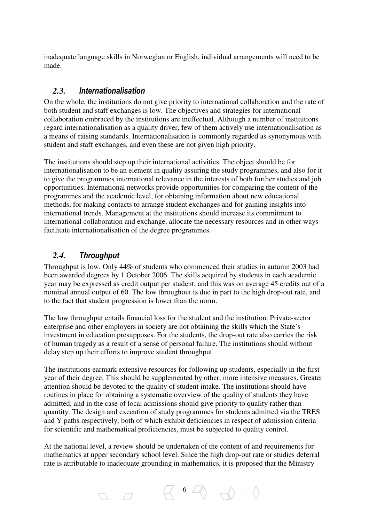inadequate language skills in Norwegian or English, individual arrangements will need to be made.

### *2.3.* Internationalisation

On the whole, the institutions do not give priority to international collaboration and the rate of both student and staff exchanges is low. The objectives and strategies for international collaboration embraced by the institutions are ineffectual. Although a number of institutions regard internationalisation as a quality driver, few of them actively use internationalisation as a means of raising standards. Internationalisation is commonly regarded as synonymous with student and staff exchanges, and even these are not given high priority.

The institutions should step up their international activities. The object should be for internationalisation to be an element in quality assuring the study programmes, and also for it to give the programmes international relevance in the interests of both further studies and job opportunities. International networks provide opportunities for comparing the content of the programmes and the academic level, for obtaining information about new educational methods, for making contacts to arrange student exchanges and for gaining insights into international trends. Management at the institutions should increase its commitment to international collaboration and exchange, allocate the necessary resources and in other ways facilitate internationalisation of the degree programmes.

## *2.4.* Throughput

Throughput is low. Only 44% of students who commenced their studies in autumn 2003 had been awarded degrees by 1 October 2006. The skills acquired by students in each academic year may be expressed as credit output per student, and this was on average 45 credits out of a nominal annual output of 60. The low throughout is due in part to the high drop-out rate, and to the fact that student progression is lower than the norm.

The low throughput entails financial loss for the student and the institution. Private-sector enterprise and other employers in society are not obtaining the skills which the State's investment in education presupposes. For the students, the drop-out rate also carries the risk of human tragedy as a result of a sense of personal failure. The institutions should without delay step up their efforts to improve student throughput.

The institutions earmark extensive resources for following up students, especially in the first year of their degree. This should be supplemented by other, more intensive measures. Greater attention should be devoted to the quality of student intake. The institutions should have routines in place for obtaining a systematic overview of the quality of students they have admitted, and in the case of local admissions should give priority to quality rather than quantity. The design and execution of study programmes for students admitted via the TRES and Y paths respectively, both of which exhibit deficiencies in respect of admission criteria for scientific and mathematical proficiencies, must be subjected to quality control.

At the national level, a review should be undertaken of the content of and requirements for mathematics at upper secondary school level. Since the high drop-out rate or studies deferral rate is attributable to inadequate grounding in mathematics, it is proposed that the Ministry

6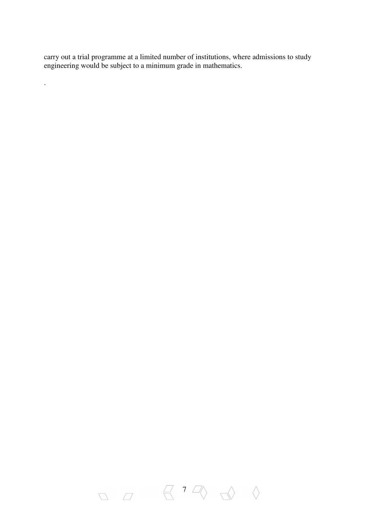carry out a trial programme at a limited number of institutions, where admissions to study engineering would be subject to a minimum grade in mathematics.

.

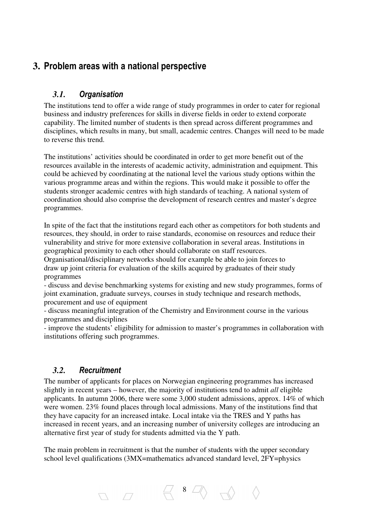# **3.** Problem areas with a national perspective

# *3.1.* Organisation

The institutions tend to offer a wide range of study programmes in order to cater for regional business and industry preferences for skills in diverse fields in order to extend corporate capability. The limited number of students is then spread across different programmes and disciplines, which results in many, but small, academic centres. Changes will need to be made to reverse this trend.

The institutions' activities should be coordinated in order to get more benefit out of the resources available in the interests of academic activity, administration and equipment. This could be achieved by coordinating at the national level the various study options within the various programme areas and within the regions. This would make it possible to offer the students stronger academic centres with high standards of teaching. A national system of coordination should also comprise the development of research centres and master's degree programmes.

In spite of the fact that the institutions regard each other as competitors for both students and resources, they should, in order to raise standards, economise on resources and reduce their vulnerability and strive for more extensive collaboration in several areas. Institutions in geographical proximity to each other should collaborate on staff resources.

Organisational/disciplinary networks should for example be able to join forces to draw up joint criteria for evaluation of the skills acquired by graduates of their study programmes

- discuss and devise benchmarking systems for existing and new study programmes, forms of joint examination, graduate surveys, courses in study technique and research methods, procurement and use of equipment

- discuss meaningful integration of the Chemistry and Environment course in the various programmes and disciplines

- improve the students' eligibility for admission to master's programmes in collaboration with institutions offering such programmes.

### *3.2.* Recruitment

The number of applicants for places on Norwegian engineering programmes has increased slightly in recent years – however, the majority of institutions tend to admit *all* eligible applicants. In autumn 2006, there were some 3,000 student admissions, approx. 14% of which were women. 23% found places through local admissions. Many of the institutions find that they have capacity for an increased intake. Local intake via the TRES and Y paths has increased in recent years, and an increasing number of university colleges are introducing an alternative first year of study for students admitted via the Y path.

The main problem in recruitment is that the number of students with the upper secondary school level qualifications (3MX=mathematics advanced standard level, 2FY=physics

8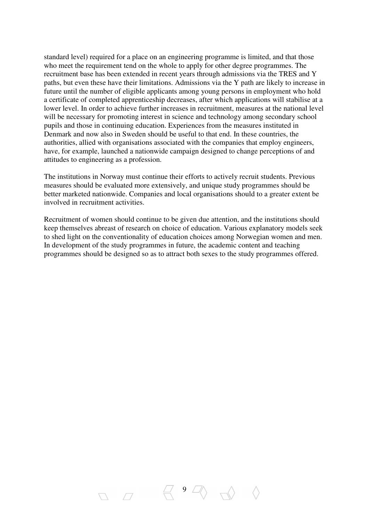standard level) required for a place on an engineering programme is limited, and that those who meet the requirement tend on the whole to apply for other degree programmes. The recruitment base has been extended in recent years through admissions via the TRES and Y paths, but even these have their limitations. Admissions via the Y path are likely to increase in future until the number of eligible applicants among young persons in employment who hold a certificate of completed apprenticeship decreases, after which applications will stabilise at a lower level. In order to achieve further increases in recruitment, measures at the national level will be necessary for promoting interest in science and technology among secondary school pupils and those in continuing education. Experiences from the measures instituted in Denmark and now also in Sweden should be useful to that end. In these countries, the authorities, allied with organisations associated with the companies that employ engineers, have, for example, launched a nationwide campaign designed to change perceptions of and attitudes to engineering as a profession.

The institutions in Norway must continue their efforts to actively recruit students. Previous measures should be evaluated more extensively, and unique study programmes should be better marketed nationwide. Companies and local organisations should to a greater extent be involved in recruitment activities.

Recruitment of women should continue to be given due attention, and the institutions should keep themselves abreast of research on choice of education. Various explanatory models seek to shed light on the conventionality of education choices among Norwegian women and men. In development of the study programmes in future, the academic content and teaching programmes should be designed so as to attract both sexes to the study programmes offered.

 $9\sqrt{ }$ 

 $\nabla \cdot \overline{Z}$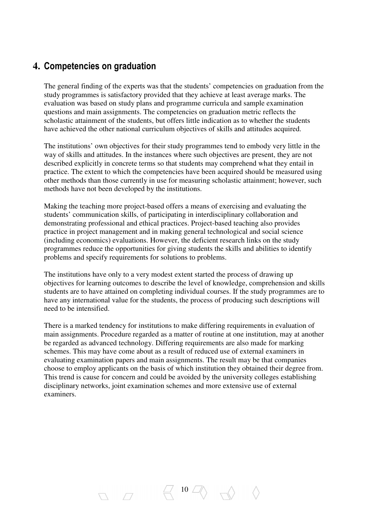# **4.** Competencies on graduation

The general finding of the experts was that the students' competencies on graduation from the study programmes is satisfactory provided that they achieve at least average marks. The evaluation was based on study plans and programme curricula and sample examination questions and main assignments. The competencies on graduation metric reflects the scholastic attainment of the students, but offers little indication as to whether the students have achieved the other national curriculum objectives of skills and attitudes acquired.

The institutions' own objectives for their study programmes tend to embody very little in the way of skills and attitudes. In the instances where such objectives are present, they are not described explicitly in concrete terms so that students may comprehend what they entail in practice. The extent to which the competencies have been acquired should be measured using other methods than those currently in use for measuring scholastic attainment; however, such methods have not been developed by the institutions.

Making the teaching more project-based offers a means of exercising and evaluating the students' communication skills, of participating in interdisciplinary collaboration and demonstrating professional and ethical practices. Project-based teaching also provides practice in project management and in making general technological and social science (including economics) evaluations. However, the deficient research links on the study programmes reduce the opportunities for giving students the skills and abilities to identify problems and specify requirements for solutions to problems.

The institutions have only to a very modest extent started the process of drawing up objectives for learning outcomes to describe the level of knowledge, comprehension and skills students are to have attained on completing individual courses. If the study programmes are to have any international value for the students, the process of producing such descriptions will need to be intensified.

There is a marked tendency for institutions to make differing requirements in evaluation of main assignments. Procedure regarded as a matter of routine at one institution, may at another be regarded as advanced technology. Differing requirements are also made for marking schemes. This may have come about as a result of reduced use of external examiners in evaluating examination papers and main assignments. The result may be that companies choose to employ applicants on the basis of which institution they obtained their degree from. This trend is cause for concern and could be avoided by the university colleges establishing disciplinary networks, joint examination schemes and more extensive use of external examiners.

 $\Box$  10  $\Box \Diamond$ 

 $\nabla \cdot \nabla$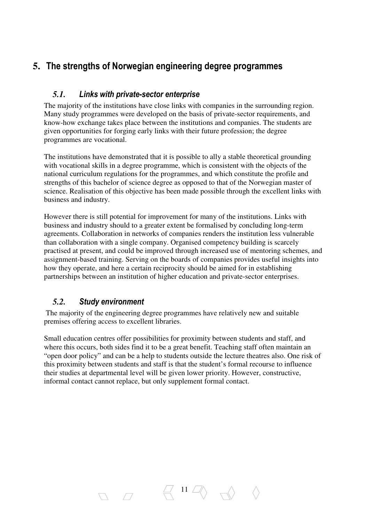# **5.** The strengths of Norwegian engineering degree programmes

## *5.1.* Links with private-sector enterprise

The majority of the institutions have close links with companies in the surrounding region. Many study programmes were developed on the basis of private-sector requirements, and know-how exchange takes place between the institutions and companies. The students are given opportunities for forging early links with their future profession; the degree programmes are vocational.

The institutions have demonstrated that it is possible to ally a stable theoretical grounding with vocational skills in a degree programme, which is consistent with the objects of the national curriculum regulations for the programmes, and which constitute the profile and strengths of this bachelor of science degree as opposed to that of the Norwegian master of science. Realisation of this objective has been made possible through the excellent links with business and industry.

However there is still potential for improvement for many of the institutions. Links with business and industry should to a greater extent be formalised by concluding long-term agreements. Collaboration in networks of companies renders the institution less vulnerable than collaboration with a single company. Organised competency building is scarcely practised at present, and could be improved through increased use of mentoring schemes, and assignment-based training. Serving on the boards of companies provides useful insights into how they operate, and here a certain reciprocity should be aimed for in establishing partnerships between an institution of higher education and private-sector enterprises.

# *5.2.* Study environment

 The majority of the engineering degree programmes have relatively new and suitable premises offering access to excellent libraries.

Small education centres offer possibilities for proximity between students and staff, and where this occurs, both sides find it to be a great benefit. Teaching staff often maintain an "open door policy" and can be a help to students outside the lecture theatres also. One risk of this proximity between students and staff is that the student's formal recourse to influence their studies at departmental level will be given lower priority. However, constructive, informal contact cannot replace, but only supplement formal contact.

 $\Box$  11  $\Box$   $\Diamond$   $\Diamond$